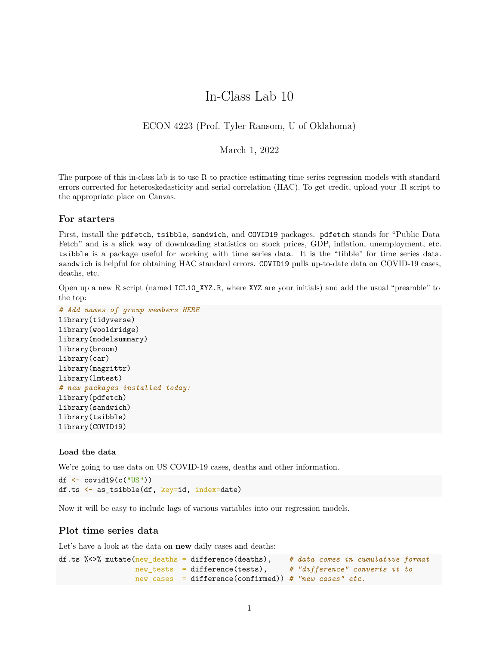# In-Class Lab 10

## ECON 4223 (Prof. Tyler Ransom, U of Oklahoma)

#### March 1, 2022

The purpose of this in-class lab is to use R to practice estimating time series regression models with standard errors corrected for heteroskedasticity and serial correlation (HAC). To get credit, upload your .R script to the appropriate place on Canvas.

#### **For starters**

First, install the pdfetch, tsibble, sandwich, and COVID19 packages. pdfetch stands for "Public Data Fetch" and is a slick way of downloading statistics on stock prices, GDP, inflation, unemployment, etc. tsibble is a package useful for working with time series data. It is the "tibble" for time series data. sandwich is helpful for obtaining HAC standard errors. COVID19 pulls up-to-date data on COVID-19 cases, deaths, etc.

Open up a new R script (named ICL10\_XYZ.R, where XYZ are your initials) and add the usual "preamble" to the top:

```
# Add names of group members HERE
library(tidyverse)
library(wooldridge)
library(modelsummary)
library(broom)
library(car)
library(magrittr)
library(lmtest)
# new packages installed today:
library(pdfetch)
library(sandwich)
library(tsibble)
library(COVID19)
```
#### **Load the data**

We're going to use data on US COVID-19 cases, deaths and other information.

```
df \leq covid19(c("US"))
df.ts \leftarrow as tsibble(df, key=id, index=date)
```
Now it will be easy to include lags of various variables into our regression models.

#### **Plot time series data**

Let's have a look at the data on **new** daily cases and deaths:

```
df.ts %<>% mutate(new_deaths = difference(deaths), # data comes in cumulative format
                 new_tests = difference(tests), # "difference" converts it to
                 new_cases = difference(confirmed)) # "new cases" etc.
```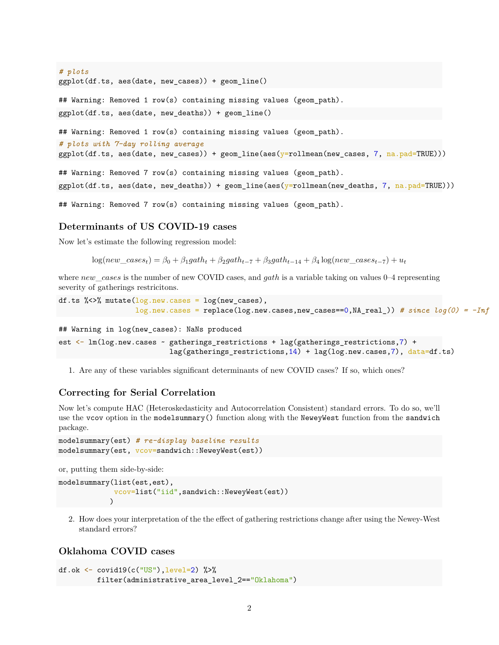*# plots* ggplot(df.ts, aes(date, new\_cases)) + geom\_line()

## Warning: Removed 1 row(s) containing missing values (geom\_path).  $ggplot(df.ts, aes(data, new deaths)) + geom line()$ 

## Warning: Removed 1 row(s) containing missing values (geom\_path).

```
# plots with 7-day rolling average
```
ggplot(df.ts, aes(date, new\_cases)) + geom\_line(aes(y=rollmean(new\_cases, 7, na.pad=TRUE)))

## Warning: Removed 7 row(s) containing missing values (geom\_path).  $ggplot(df.ts, aes(data, new deaths)) + geomline(aes(y=rollmean(new deaths, 7, na.path())$ 

## Warning: Removed 7 row(s) containing missing values (geom\_path).

#### **Determinants of US COVID-19 cases**

Now let's estimate the following regression model:

 $log(new\_cases_t) = \beta_0 + \beta_1 gath_t + \beta_2 gath_{t-7} + \beta_3 gath_{t-14} + \beta_4 \log(new\_cases_{t-7}) + u_t$ 

where *new*\_*cases* is the number of new COVID cases, and *gath* is a variable taking on values 0–4 representing severity of gatherings restricitons.

```
df.ts \frac{1}{2} mutate(\log.new.cases = \log(new_cases),
                   log.new.cases = replace(log.new.cases,new_cases==0,NA_real_)) # since log(0) = -Inf
```
## Warning in log(new\_cases): NaNs produced

```
est <- lm(log.new.cases ~ gatherings_restrictions + lag(gatherings_restrictions,7) +
                          lag(gatherings_restrictions,14) + lag(log.new.cases,7), data=df.ts)
```
1. Are any of these variables significant determinants of new COVID cases? If so, which ones?

## **Correcting for Serial Correlation**

Now let's compute HAC (Heteroskedasticity and Autocorrelation Consistent) standard errors. To do so, we'll use the vcov option in the modelsummary() function along with the NeweyWest function from the sandwich package.

```
modelsummary(est) # re-display baseline results
modelsummary(est, vcov=sandwich::NeweyWest(est))
```
or, putting them side-by-side:

```
modelsummary(list(est,est),
             vcov=list("iid",sandwich::NeweyWest(est))
            )
```
2. How does your interpretation of the the effect of gathering restrictions change after using the Newey-West standard errors?

## **Oklahoma COVID cases**

```
df.ok \leq covid19(c("US"), level=2) %>%
         filter(administrative_area_level_2=="Oklahoma")
```